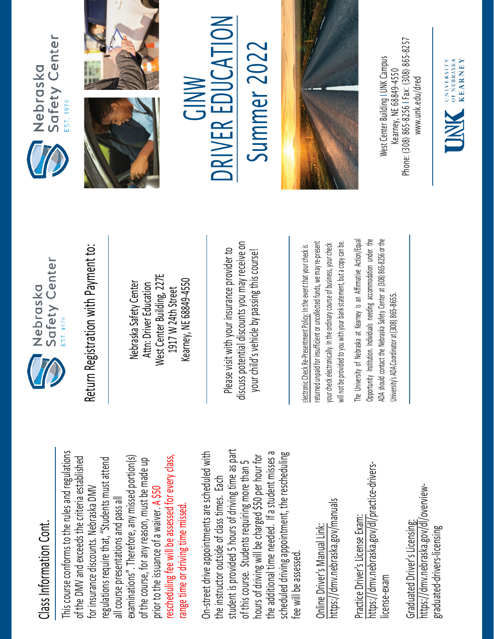## Class Information Cont. Class Information Cont.

This course conforms to the rules and regulations This course conforms to the rules and regulations rescheduling fee will be assessed for every class, examinations". Therefore, any missed portion(s) of the DMV and exceeds the criteria established regulations require that, "Students must attend rescheduling fee will be assessed for every class, of the DMV and exceeds the criteria established examinations". Therefore, any missed portion(s) of the course, for any reason, must be made up regulations require that, "Students must attend of the course, for any reason, must be made up for insurance discounts. Nebraska DMV for insurance discounts. Nebraska DMV prior to the issuance of a waiver. A \$50 all course presentations and pass all all course presentations and pass all range time or driving time missed. range time or driving time missed. prior to the issuance of a waiver.

student is provided 5 hours of driving time as part On-street drive appointments are scheduled with student is provided 5 hours of driving time as part the additional time needed. If a student misses a scheduled driving appointment, the rescheduling the additional time needed. If a student misses a On-street drive appointments are scheduled with hours of driving will be charged \$50 per hour for hours of driving will be charged \$50 per hour for scheduled driving appointment, the rescheduling of this course. Students requiring more than 5 of this course. Students requiring more than 5 the instructor outside of class times. Each the instructor outside of class times. Each fee will be assessed. fee will be assessed

https://dmv.nebraska.gov/manuals https://dmv.nebraska.gov/manuals Online Driver's Manual Link: Online Driver's Manual Link:

https://dmv.nebraska.gov/dl/practice-drivershttps://dmv.nebraska.gov/dl/practice-drivers-Practice Driver's License Exam: Practice Driver's License Exam: license-exam icense-exam

https://dmv.nebraska.gov/dl/overviewhttps://dmv.nebraska.gov/dl/overview-Graduated Driver's Licensing: Graduated Driver's Licensing: graduated-drivers-licensing graduated-drivers-licensing



Nebraska Safety Center Attn: Driver Education West Center Building, 227E 1917 W 24th Street Kearney, NE 68849-4550

Please visit with your insurance provider to discuss potential discounts you may receive on your child's vehicle by passing this course! Return Registration with Payment to:<br>
Nebraska Safety Center<br>
Attn: Driver Education<br>
1917 W 24th Street<br>
Rearney, NE 68849-4550<br>
Rease visit with your insurance provider to<br>
Please visit with your insurance provider to<br>
y

returned unpaid for insufficient or uncollected funds, we may re-present a copy can be. returned unpaid for insufficient or uncollected funds, we may re-present will not be provided to you with your bank statement, but a copy can be. your check electronically. In the ordinary course of business, your check your check electronically. In the ordinary course of business, your check will not be provided to you with your bank statement, but

The University of Nebraska at Kearney is an Affirmative Action/Equal The University of Nebraska at Kearney is an Affirmative Action/Equal Opportunity Institution. Individuals needing accommodation under the ADA should contact the Nebraska Safety Center at (308) 865-8256 or the Opportunity Institution. Individuals needing accommodation under the ADA should contact the Nebraska Safety Center at (308) 865-8256 or the Jniversity's ADA Coordinator at (308) 865-8655. University's ADA Coordinator at (308) 86







## GINW **NC** RIV E R EDUCA  $\sum_{i=1}^{n}$ Summer 2022

Summer 202



Phone: (308) 865-8256 | Fax: (308) 865-8257 West Center Building I UNK Campus Nest Center Building I UNK Campus -8256 I Fax: (308) 865 Kearney, NE 68849-4550 www.unk.edu/dred [www.unk.edu/dred](http://www.unk.edu/dred) Kearney, NE 68849 Phone: (308) 865

UNIVERSITY<br>
OF NEBRASKA<br>
KFARNEY

**KEARNEY**